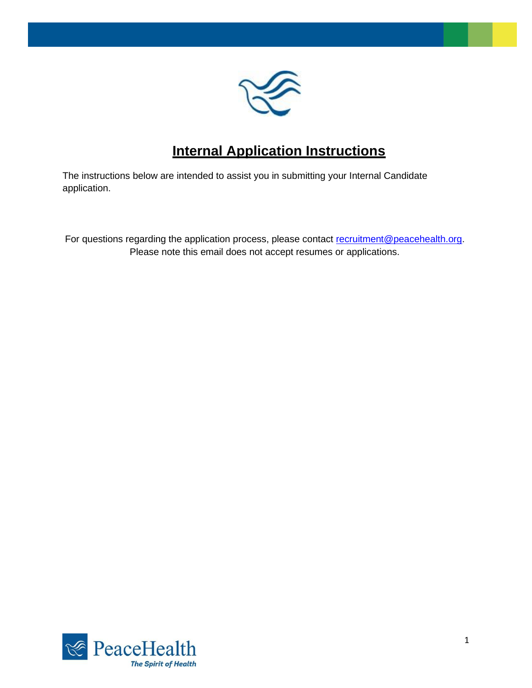

# **Internal Application Instructions**

The instructions below are intended to assist you in submitting your Internal Candidate application.

For questions regarding the application process, please contact [recruitment@peacehealth.org.](mailto:recruitment@peacehealth.org) Please note this email does not accept resumes or applications.

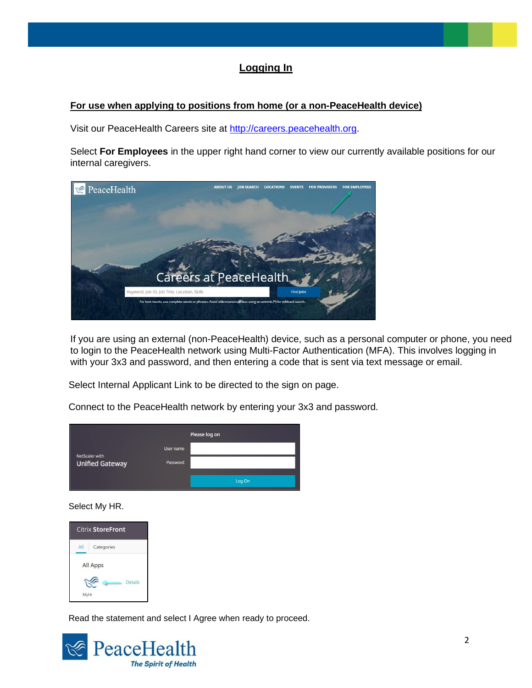## **Logging In**

#### **For use when applying to positions from home (or a non-PeaceHealth device)**

Visit our PeaceHealth Careers site at [http://careers.peacehealth.org.](http://jobs.peacehealth.org/) 

Select **For Employees** in the upper right hand corner to view our currently available positions for our internal caregivers.



If you are using an external (non-PeaceHealth) device, such as a personal computer or phone, you need to login to the PeaceHealth network using Multi-Factor Authentication (MFA). This involves logging in with your 3x3 and password, and then entering a code that is sent via text message or email.

Select Internal Applicant Link to be directed to the sign on page.

Connect to the PeaceHealth network by entering your 3x3 and password.

|                                          |           | Please log on |
|------------------------------------------|-----------|---------------|
|                                          | User name |               |
| NetScaler with<br><b>Unified Gateway</b> | Password  |               |
|                                          |           | Log On        |

Select My HR.

| <b>Citrix StoreFront</b> |  |  |  |  |  |
|--------------------------|--|--|--|--|--|
| All<br>Categories        |  |  |  |  |  |
| <b>All Apps</b>          |  |  |  |  |  |
| <b>Details</b><br>MyHr   |  |  |  |  |  |

Read the statement and select I Agree when ready to proceed.

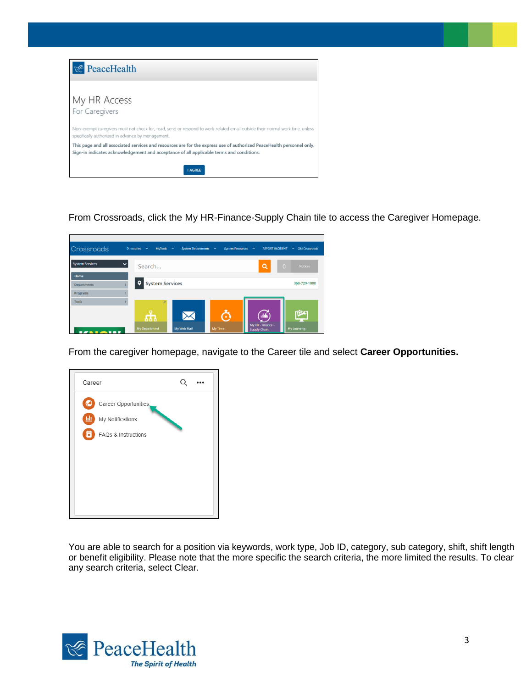| <b><i><u><b>PeaceHealth</b></u></i></b>                                                                                                                                                                                             |  |
|-------------------------------------------------------------------------------------------------------------------------------------------------------------------------------------------------------------------------------------|--|
| My HR Access<br>For Caregivers                                                                                                                                                                                                      |  |
| Non-exempt caregivers must not check for, read, send or respond to work-related email outside their normal work time, unless<br>specifically authorized in advance by management.                                                   |  |
| This page and all associated services and resources are for the express use of authorized PeaceHealth personnel only.<br>Sign-in indicates acknowledgement and acceptance of all applicable terms and conditions.<br><b>I AGREE</b> |  |

From Crossroads, click the My HR-Finance-Supply Chain tile to access the Caregiver Homepage.

| <b>Directories</b><br>$\sim$ |                                 |                                                         | <b>REPORT INCIDENT</b>                 | $\vee$ Old Crossroads                     |
|------------------------------|---------------------------------|---------------------------------------------------------|----------------------------------------|-------------------------------------------|
| Search                       |                                 |                                                         | $\alpha$                               | $\overline{0}$<br><b>Notices</b>          |
|                              |                                 |                                                         |                                        |                                           |
|                              |                                 |                                                         |                                        | 360-729-1000                              |
|                              |                                 |                                                         |                                        |                                           |
| œ                            |                                 |                                                         |                                        |                                           |
| க                            |                                 | o                                                       | دار.<br>My HR - Finance -              | My Learning                               |
|                              | $\circ$<br><b>My Department</b> | $MyTools \sim$<br><b>System Services</b><br>My Web Mail | System Departments v<br><b>My Time</b> | System Resources v<br><b>Supply Chain</b> |

From the caregiver homepage, navigate to the Career tile and select **Career Opportunities.**

| Career                                                                           |  |
|----------------------------------------------------------------------------------|--|
| Career Opportunities,<br>€<br>画<br>My Notifications<br>15<br>FAQs & Instructions |  |

You are able to search for a position via keywords, work type, Job ID, category, sub category, shift, shift length or benefit eligibility. Please note that the more specific the search criteria, the more limited the results. To clear any search criteria, select Clear.

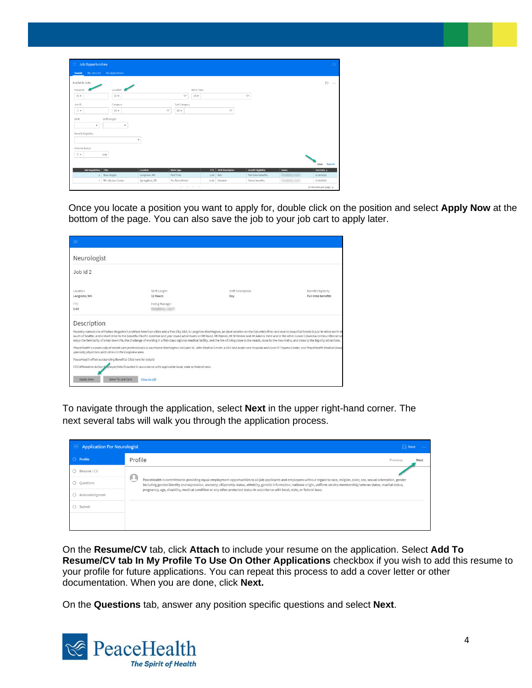| <b>Job Opportunities</b><br>$\equiv$                                                  |                                         |                 |                                 |      |                       |                            |      | $\bullet$               |
|---------------------------------------------------------------------------------------|-----------------------------------------|-----------------|---------------------------------|------|-----------------------|----------------------------|------|-------------------------|
| My Job Cart My Applications<br>Search                                                 |                                         |                 |                                 |      |                       |                            |      |                         |
| Available Jobs                                                                        |                                         |                 |                                 |      |                       |                            |      | Ð<br>$\cdots$           |
| Keyword                                                                               | Location                                |                 | Work Type                       |      |                       |                            |      |                         |
| $[\wedge]$ $\neq$                                                                     |                                         |                 | $[\wedge]$ $\neq$<br>$Q^{\pm}$  |      |                       | $\mathbb{Q}^\pm$           |      |                         |
| Job ID                                                                                | Category                                |                 | Sub Category                    |      |                       |                            |      |                         |
| $=$ $\star$                                                                           | $[\mathbb{A}]$ $\ensuremath{\mathbf v}$ | $\mathbb{Q}^n$  | $[\mathbb{A}]$ $\neq$           |      | $\mathbb{Q}^{\equiv}$ |                            |      |                         |
| Shift<br>Shift Length<br>$\;$<br>$\;$<br><b>Benefit Eligibility</b><br>Referral Bonus |                                         |                 |                                 |      |                       |                            |      |                         |
| $\equiv$ $\star$<br>0.00                                                              |                                         |                 |                                 |      |                       |                            |      | Search<br>Clear         |
| <b>Job Requisition</b><br>Title                                                       |                                         | Location        | <b>Work Type</b>                |      | FTE Shift Description | <b>Benefit Eligibility</b> | Name | Post Date $\frac{1}{2}$ |
| $\overline{z}$                                                                        | Neurologist                             | Longview, WA    | Full Time                       | 1.00 | Day                   | Full-time benefits         |      | 5/18/2020               |
| $1$                                                                                   | RN Infusion Center                      | Springfield, OR | Per Diem/Relief                 | 0.00 | Variable              | Select benefits            |      | 5/18/2020               |
|                                                                                       |                                         |                 | $K \leftarrow \triangleright$ ) |      |                       |                            |      | 20 Records per page v   |

Once you locate a position you want to apply for, double click on the position and select **Apply Now** at the bottom of the page. You can also save the job to your job cart to apply later.

| Neurologist                                                     |                                                                                                           |                                                                                                                                                                                                                                                                                                                                                                                                                                                                                                                                                                                                                                                         |                                           |
|-----------------------------------------------------------------|-----------------------------------------------------------------------------------------------------------|---------------------------------------------------------------------------------------------------------------------------------------------------------------------------------------------------------------------------------------------------------------------------------------------------------------------------------------------------------------------------------------------------------------------------------------------------------------------------------------------------------------------------------------------------------------------------------------------------------------------------------------------------------|-------------------------------------------|
| $J$ ob $Id$ 2                                                   |                                                                                                           |                                                                                                                                                                                                                                                                                                                                                                                                                                                                                                                                                                                                                                                         |                                           |
| Location<br>Longview, WA                                        | Shift Length<br>12 Hours                                                                                  | Shift Description<br>Day                                                                                                                                                                                                                                                                                                                                                                                                                                                                                                                                                                                                                                | Benefit Eligibility<br>Full-time benefits |
| FTE<br>1.00                                                     | Hiring Manager                                                                                            |                                                                                                                                                                                                                                                                                                                                                                                                                                                                                                                                                                                                                                                         |                                           |
| Description                                                     |                                                                                                           |                                                                                                                                                                                                                                                                                                                                                                                                                                                                                                                                                                                                                                                         |                                           |
|                                                                 |                                                                                                           | Recently named one of Forbes Magazine's prettiest American cities and a Tree City USA, is Longview Washington, an ideal location on the Columbia River and next to beautiful forests is just 40 miles north of<br>south of Seattle, and a short drive to the beautiful Pacific coastline and year round adventures on Mt Hood, Mt Rainier, Mt St Helens and Mt Adams. Here and in the other Lower Columbia communities serve<br>enjoy the familiarity of small-town life, the challenge of working in a first-class regional medical facility, and the fun of living close to the beach, close to the mountains, and close to the big-city attractions. |                                           |
| specialty physicians with clinics in the Longview area.         |                                                                                                           | PeaceHealth's community of health care professionals in southwest Washington includes St. John Medical Center, a 193-bed acute-care hospital and Level III Trauma Center, and PeaceHealth Medical Group                                                                                                                                                                                                                                                                                                                                                                                                                                                 |                                           |
| PeaceHealth offers outstanding Benefits! Click here for details |                                                                                                           |                                                                                                                                                                                                                                                                                                                                                                                                                                                                                                                                                                                                                                                         |                                           |
|                                                                 | EEO Affirmative Action Employer/Vets/Disabled in accordance with applicable local, state or federal laws. |                                                                                                                                                                                                                                                                                                                                                                                                                                                                                                                                                                                                                                                         |                                           |
| <b>Apply Now</b>                                                | Save To Job Cart<br>View as odf                                                                           |                                                                                                                                                                                                                                                                                                                                                                                                                                                                                                                                                                                                                                                         |                                           |

To navigate through the application, select **Next** in the upper right-hand corner. The next several tabs will walk you through the application process.

| $\equiv$ Application For Neurologist | $\Box$ Save                                                                                                                                                                                                                                                                                                                                                                    |  |
|--------------------------------------|--------------------------------------------------------------------------------------------------------------------------------------------------------------------------------------------------------------------------------------------------------------------------------------------------------------------------------------------------------------------------------|--|
| $\bigcirc$ Profile                   | Profile<br>Previous<br>Next                                                                                                                                                                                                                                                                                                                                                    |  |
| ○ Resume / CV                        |                                                                                                                                                                                                                                                                                                                                                                                |  |
| O Questions                          | œ.<br>PeaceHealth is committed to providing equal employment opportunities to all job applicants and employees without regard to race, religion, color, sex, sexual orientation, gender<br>including gender identity and expression, ancestry, citizenship status, ethnicity, genetic information, national origin, uniform service membership/veteran status, marital status, |  |
| Acknowledgment<br>0                  | pregnancy, age, disability, medical condition or any other protected status in accordance with local, state, or federal laws.                                                                                                                                                                                                                                                  |  |
| ○ Submit                             |                                                                                                                                                                                                                                                                                                                                                                                |  |
|                                      |                                                                                                                                                                                                                                                                                                                                                                                |  |
|                                      |                                                                                                                                                                                                                                                                                                                                                                                |  |

On the **Resume/CV** tab, click **Attach** to include your resume on the application. Select **Add To Resume/CV tab In My Profile To Use On Other Applications** checkbox if you wish to add this resume to your profile for future applications. You can repeat this process to add a cover letter or other documentation. When you are done, click **Next.**

On the **Questions** tab, answer any position specific questions and select **Next**.

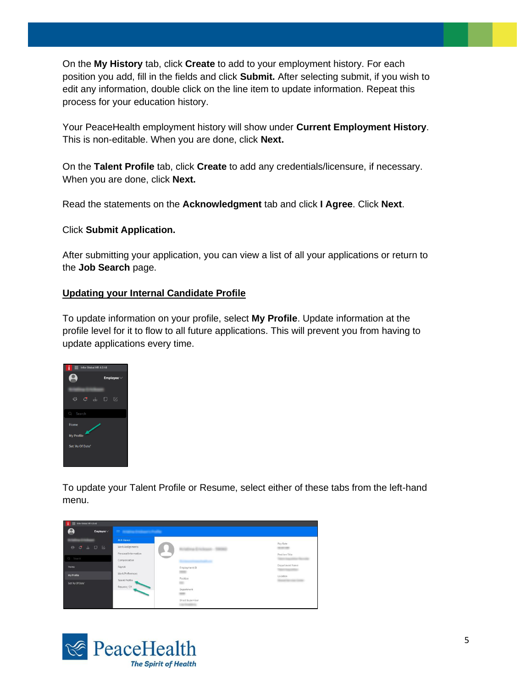On the **My History** tab, click **Create** to add to your employment history. For each position you add, fill in the fields and click **Submit.** After selecting submit, if you wish to edit any information, double click on the line item to update information. Repeat this process for your education history.

Your PeaceHealth employment history will show under **Current Employment History**. This is non-editable. When you are done, click **Next.**

On the **Talent Profile** tab, click **Create** to add any credentials/licensure, if necessary. When you are done, click **Next.**

Read the statements on the **Acknowledgment** tab and click **I Agree**. Click **Next**.

Click **Submit Application.**

After submitting your application, you can view a list of all your applications or return to the **Job Search** page.

#### **Updating your Internal Candidate Profile**

To update information on your profile, select **My Profile**. Update information at the profile level for it to flow to all future applications. This will prevent you from having to update applications every time.



To update your Talent Profile or Resume, select either of these tabs from the left-hand menu.



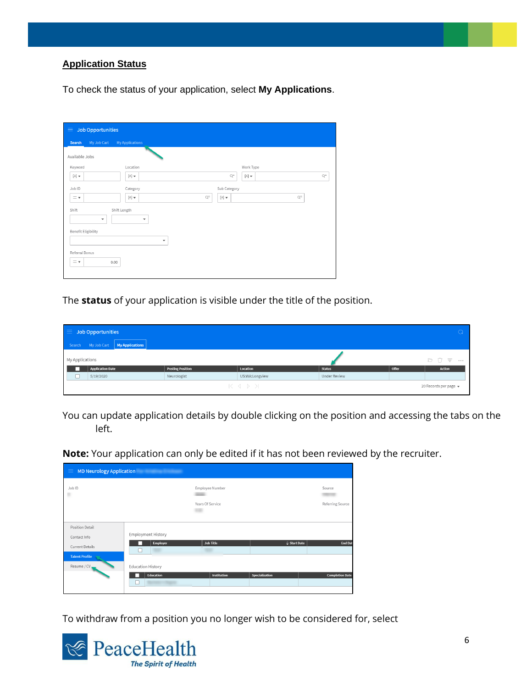### **Application Status**

To check the status of your application, select **My Applications**.

| 三                                              | <b>Job Opportunities</b>                                                  |                                                   |    |
|------------------------------------------------|---------------------------------------------------------------------------|---------------------------------------------------|----|
| Search                                         | My Job Cart<br><b>My Applications</b>                                     |                                                   |    |
| Available Jobs                                 |                                                                           |                                                   |    |
| Keyword                                        | Location                                                                  | Work Type                                         |    |
| $\left[\mathbb{A}\right]$ $\blacktriangledown$ | $\left[\mathbb{A}\right]$ $\blacktriangledown$                            | Q=<br>$[\mathbb{A}]$ $\blacktriangledown$         | q= |
| Job ID                                         | Category                                                                  | Sub Category                                      |    |
| $=$ $\star$                                    | $[A]$ $\neq$                                                              | $Q_{\rm m}$<br>$Q^{\pm}$<br>$[\mathbb{A}]$ $\neq$ |    |
| Shift<br><b>Benefit Eligibility</b>            | Shift Length<br>۰<br>$\overline{\mathbf{v}}$<br>$\boldsymbol{\mathrm{v}}$ |                                                   |    |
| Referral Bonus<br>$=$ $\star$                  | 0.00                                                                      |                                                   |    |

The **status** of your application is visible under the title of the position.

|                          | $\equiv$ Job Opportunities           |                         |                |                     |       |                             |
|--------------------------|--------------------------------------|-------------------------|----------------|---------------------|-------|-----------------------------|
|                          | Search My Job Cart   My Applications |                         |                |                     |       |                             |
| My Applications          |                                      |                         |                |                     |       | <b>D Û E …</b>              |
|                          | <b>Application Date</b>              | <b>Posting Position</b> | Location       | <b>Status</b>       | Offer | <b>Action</b>               |
| $\overline{\phantom{0}}$ | 5/19/2020                            | Neurologist             | US:WA:Longview | <b>Under Review</b> |       |                             |
|                          |                                      |                         | ドイトン           |                     |       | 20 Records per page $\star$ |

You can update application details by double clicking on the position and accessing the tabs on the left.

**Note:** Your application can only be edited if it has not been reviewed by the recruiter.

| Job ID<br>Employee Number<br>Source<br>٠<br>Years Of Service<br>Position Detail<br>Employment History<br>Contact Info<br><b>Job Title</b><br><b>Employer</b><br>$\div$ Start Date<br>- 1<br><b>Current Details</b><br>□<br><b>Talent Profile</b><br>Resume / CV<br><b>Education History</b> | $\equiv$ MD Neurology Application |           |             |                |                        |
|---------------------------------------------------------------------------------------------------------------------------------------------------------------------------------------------------------------------------------------------------------------------------------------------|-----------------------------------|-----------|-------------|----------------|------------------------|
|                                                                                                                                                                                                                                                                                             |                                   |           |             |                | Referring Source       |
|                                                                                                                                                                                                                                                                                             |                                   |           |             |                | End Da                 |
| Ш                                                                                                                                                                                                                                                                                           |                                   | Education | Institution | Specialization | <b>Completion Date</b> |

To withdraw from a position you no longer wish to be considered for, select